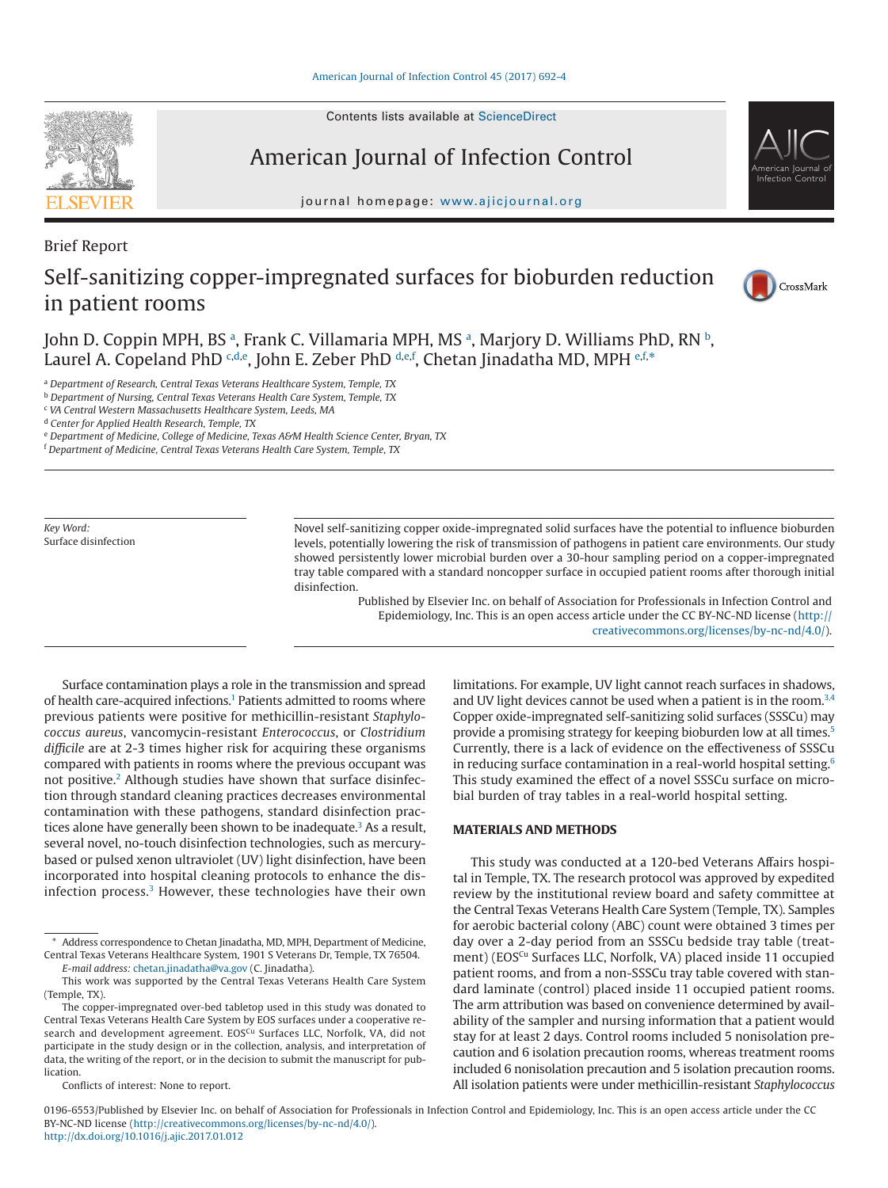Contents lists available at [ScienceDirect](http://www.sciencedirect.com/science/journal/01966553)

# American Journal of Infection Control

journal homepage: [www.ajicjournal.org](http://www.ajicjournal.org)

Brief Report

## Self-sanitizing copper-impregnated surfaces for bioburden reduction in patient rooms



American Journal of Infection Control

John D. Coppin MPH, BS ª, Fr[a](#page-0-0)nk C. Villamaria MPH, MS ª, Marjory D. Williams PhD, RN ʰ, Laurel A. Copeland PhD <sup>[c](#page-0-2)[,d,](#page-0-3)[e](#page-0-4)</sup>, John E. Zeber PhD <sup>[d,](#page-0-3)e[,f](#page-0-5)</sup>, Chetan Jinadatha MD, MPH <sup>e,t,</sup>[\\*](#page-0-6)

<span id="page-0-0"></span><sup>a</sup> *Department of Research, Central Texas Veterans Healthcare System, Temple, TX*

<span id="page-0-1"></span><sup>b</sup> *Department of Nursing, Central Texas Veterans Health Care System, Temple, TX*

<span id="page-0-2"></span><sup>c</sup> *VA Central Western Massachusetts Healthcare System, Leeds, MA*

<span id="page-0-3"></span><sup>d</sup> *Center for Applied Health Research, Temple, TX*

<span id="page-0-4"></span><sup>e</sup> *Department of Medicine, College of Medicine, Texas A&M Health Science Center, Bryan, TX*

<span id="page-0-5"></span><sup>f</sup> *Department of Medicine, Central Texas Veterans Health Care System, Temple, TX*

*Key Word:* Surface disinfection Novel self-sanitizing copper oxide-impregnated solid surfaces have the potential to influence bioburden levels, potentially lowering the risk of transmission of pathogens in patient care environments. Our study showed persistently lower microbial burden over a 30-hour sampling period on a copper-impregnated tray table compared with a standard noncopper surface in occupied patient rooms after thorough initial disinfection.

> Published by Elsevier Inc. on behalf of Association for Professionals in Infection Control and Epidemiology, Inc. This is an open access article under the CC BY-NC-ND license (http:// creativecommons.org/licenses/by-nc-nd/4.0/).

Surface contamination plays a role in the transmission and spread of health care-acquired infections.<sup>1</sup> Patients admitted to rooms where previous patients were positive for methicillin-resistant *Staphylococcus aureus*, vancomycin-resistant *Enterococcus*, or *Clostridium difficile* are at 2-3 times higher risk for acquiring these organisms compared with patients in rooms where the previous occupant was not positive.<sup>2</sup> Although studies have shown that surface disinfection through standard cleaning practices decreases environmental contamination with these pathogens, standard disinfection practices alone have generally been shown to be inadequate.<sup>3</sup> As a result, several novel, no-touch disinfection technologies, such as mercurybased or pulsed xenon ultraviolet (UV) light disinfection, have been incorporated into hospital cleaning protocols to enhance the disinfection process.<sup>3</sup> However, these technologies have their own

This work was supported by the Central Texas Veterans Health Care System (Temple, TX).

limitations. For example, UV light cannot reach surfaces in shadows, and UV light devices cannot be used when a patient is in the room.<sup>3,4</sup> Copper oxide-impregnated self-sanitizing solid surfaces (SSSCu) may provide a promising strategy for keeping bioburden low at all times[.5](#page-2-3) Currently, there is a lack of evidence on the effectiveness of SSSCu in reducing surface contamination in a real-world hospital setting.<sup>6</sup> This study examined the effect of a novel SSSCu surface on microbial burden of tray tables in a real-world hospital setting.

#### **MATERIALS AND METHODS**

This study was conducted at a 120-bed Veterans Affairs hospital in Temple, TX. The research protocol was approved by expedited review by the institutional review board and safety committee at the Central Texas Veterans Health Care System (Temple, TX). Samples for aerobic bacterial colony (ABC) count were obtained 3 times per day over a 2-day period from an SSSCu bedside tray table (treatment) (EOS<sup>Cu</sup> Surfaces LLC, Norfolk, VA) placed inside 11 occupied patient rooms, and from a non-SSSCu tray table covered with standard laminate (control) placed inside 11 occupied patient rooms. The arm attribution was based on convenience determined by availability of the sampler and nursing information that a patient would stay for at least 2 days. Control rooms included 5 nonisolation precaution and 6 isolation precaution rooms, whereas treatment rooms included 6 nonisolation precaution and 5 isolation precaution rooms. All isolation patients were under methicillin-resistant *Staphylococcus*

0196-6553/Published by Elsevier Inc. on behalf of Association for Professionals in Infection Control and Epidemiology, Inc. This is an open access article under the CC BY-NC-ND license (http://creativecommons.org/licenses/by-nc-nd/4.0/). <http://dx.doi.org/10.1016/j.ajic.2017.01.012>

<span id="page-0-6"></span><sup>\*</sup> Address correspondence to Chetan Jinadatha, MD, MPH, Department of Medicine, Central Texas Veterans Healthcare System, 1901 S Veterans Dr, Temple, TX 76504. *E-mail address:* [chetan.jinadatha@va.gov](mailto:chetan.jinadatha@va.gov) (C. Jinadatha).

The copper-impregnated over-bed tabletop used in this study was donated to Central Texas Veterans Health Care System by EOS surfaces under a cooperative research and development agreement. EOSCu Surfaces LLC, Norfolk, VA, did not participate in the study design or in the collection, analysis, and interpretation of data, the writing of the report, or in the decision to submit the manuscript for pub**lication** 

Conflicts of interest: None to report.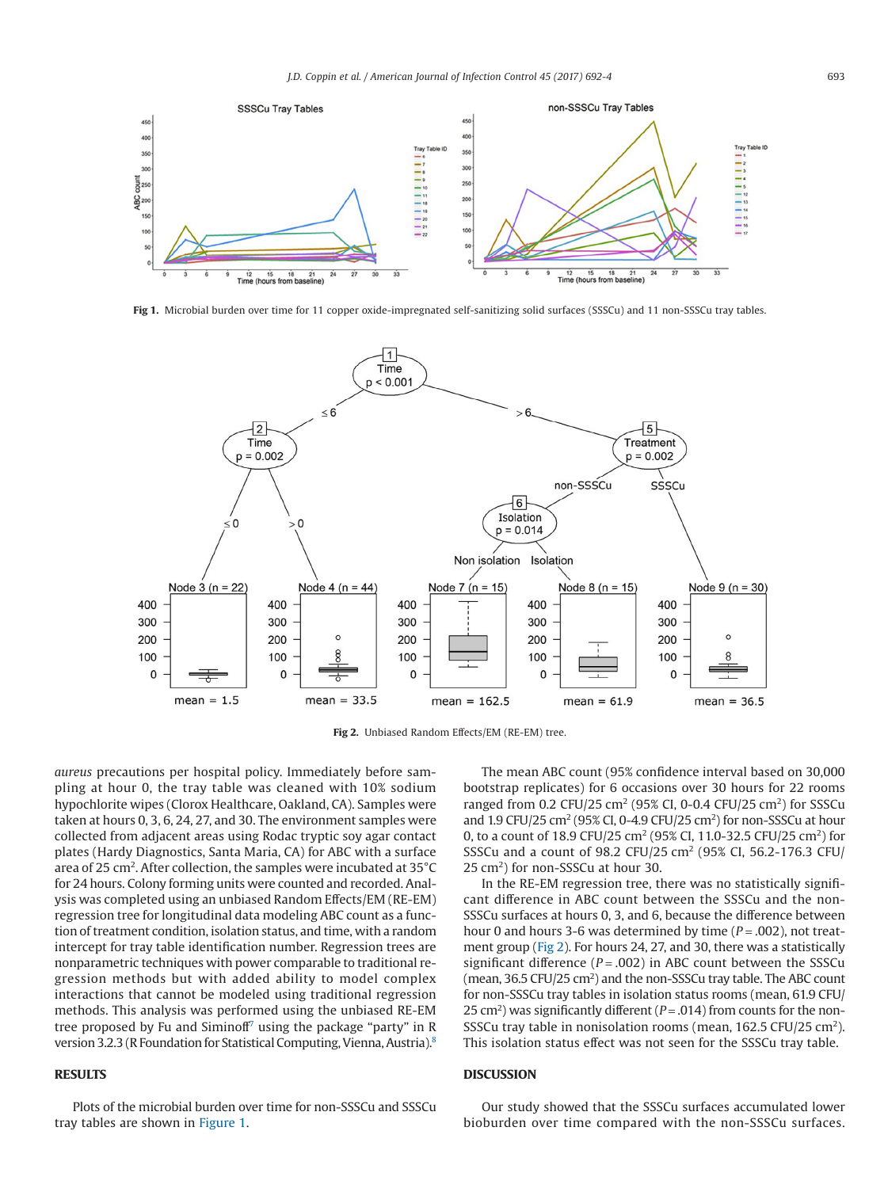

Fig 1. Microbial burden over time for 11 copper oxide-impregnated self-sanitizing solid surfaces (SSSCu) and 11 non-SSSCu tray tables.



**Fig 2.** Unbiased Random Effects/EM (RE-EM) tree.

*aureus* precautions per hospital policy. Immediately before sampling at hour 0, the tray table was cleaned with 10% sodium hypochlorite wipes (Clorox Healthcare, Oakland, CA). Samples were taken at hours 0, 3, 6, 24, 27, and 30. The environment samples were collected from adjacent areas using Rodac tryptic soy agar contact plates (Hardy Diagnostics, Santa Maria, CA) for ABC with a surface area of 25 cm<sup>2</sup>. After collection, the samples were incubated at 35 $^{\circ}$ C for 24 hours. Colony forming units were counted and recorded. Analysis was completed using an unbiased Random Effects/EM (RE-EM) regression tree for longitudinal data modeling ABC count as a function of treatment condition, isolation status, and time, with a random intercept for tray table identification number. Regression trees are nonparametric techniques with power comparable to traditional regression methods but with added ability to model complex interactions that cannot be modeled using traditional regression methods. This analysis was performed using the unbiased RE-EM tree proposed by Fu and Siminoff<sup>7</sup> using the package "party" in R version 3.2.3 (R Foundation for Statistical Computing, Vienna, Austria)[.8](#page-2-6)

### **RESULTS**

Plots of the microbial burden over time for non-SSSCu and SSSCu tray tables are shown in Figure 1.

The mean ABC count (95% confidence interval based on 30,000 bootstrap replicates) for 6 occasions over 30 hours for 22 rooms ranged from 0.2 CFU/25 cm<sup>2</sup> (95% CI, 0-0.4 CFU/25 cm<sup>2</sup>) for SSSCu and 1.9 CFU/25 cm<sup>2</sup> (95% CI, 0-4.9 CFU/25 cm<sup>2</sup>) for non-SSSCu at hour 0, to a count of 18.9 CFU/25 cm<sup>2</sup> (95% CI, 11.0-32.5 CFU/25 cm<sup>2</sup>) for SSSCu and a count of 98.2 CFU/25 cm2 (95% CI, 56.2-176.3 CFU/ 25 cm2) for non-SSSCu at hour 30.

In the RE-EM regression tree, there was no statistically significant difference in ABC count between the SSSCu and the non-SSSCu surfaces at hours 0, 3, and 6, because the difference between hour 0 and hours 3-6 was determined by time (*P* = .002), not treatment group (Fig 2). For hours 24, 27, and 30, there was a statistically significant difference  $(P = .002)$  in ABC count between the SSSCu  $(mean, 36.5 CFU/25 cm<sup>2</sup>)$  and the non-SSSCu tray table. The ABC count for non-SSSCu tray tables in isolation status rooms (mean, 61.9 CFU/ 25 cm<sup>2</sup>) was significantly different ( $P = .014$ ) from counts for the non-SSSCu tray table in nonisolation rooms (mean, 162.5 CFU/25 cm<sup>2</sup>). This isolation status effect was not seen for the SSSCu tray table.

### **DISCUSSION**

Our study showed that the SSSCu surfaces accumulated lower bioburden over time compared with the non-SSSCu surfaces.